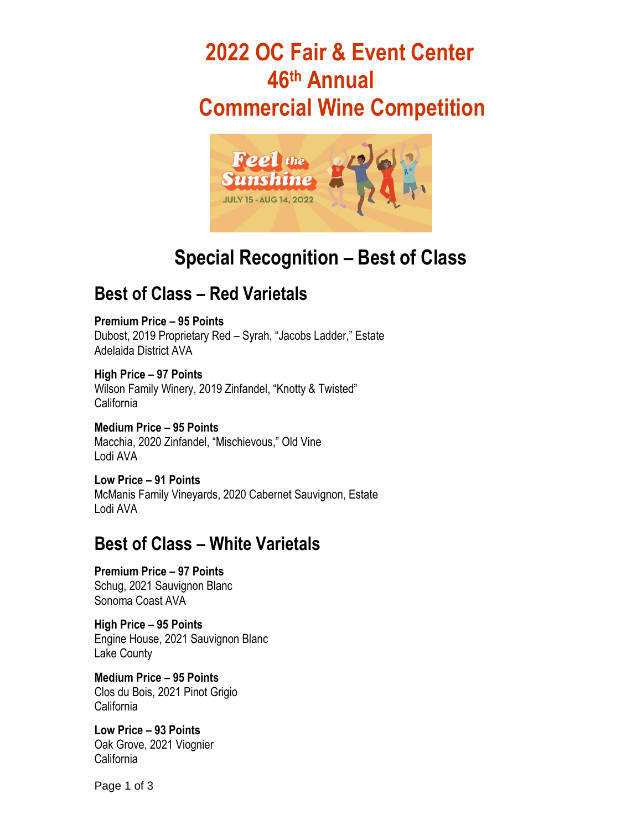# **2022 OC Fair & Event Center 46 th Annual Commercial Wine Competition**



# **Special Recognition – Best of Class**

# **Best of Class – Red Varietals**

**Premium Price – 95 Points** Dubost, 2019 Proprietary Red – Syrah, "Jacobs Ladder," Estate Adelaida District AVA

**High Price – 97 Points** Wilson Family Winery, 2019 Zinfandel, "Knotty & Twisted" California

**Medium Price – 95 Points** Macchia, 2020 Zinfandel, "Mischievous," Old Vine Lodi AVA

**Low Price – 91 Points** McManis Family Vineyards, 2020 Cabernet Sauvignon, Estate Lodi AVA

#### **Best of Class – White Varietals**

**Premium Price – 97 Points** Schug, 2021 Sauvignon Blanc Sonoma Coast AVA

**High Price – 95 Points** Engine House, 2021 Sauvignon Blanc Lake County

**Medium Price – 95 Points**  Clos du Bois, 2021 Pinot Grigio California

**Low Price – 93 Points**  Oak Grove, 2021 Viognier California

Page 1 of 3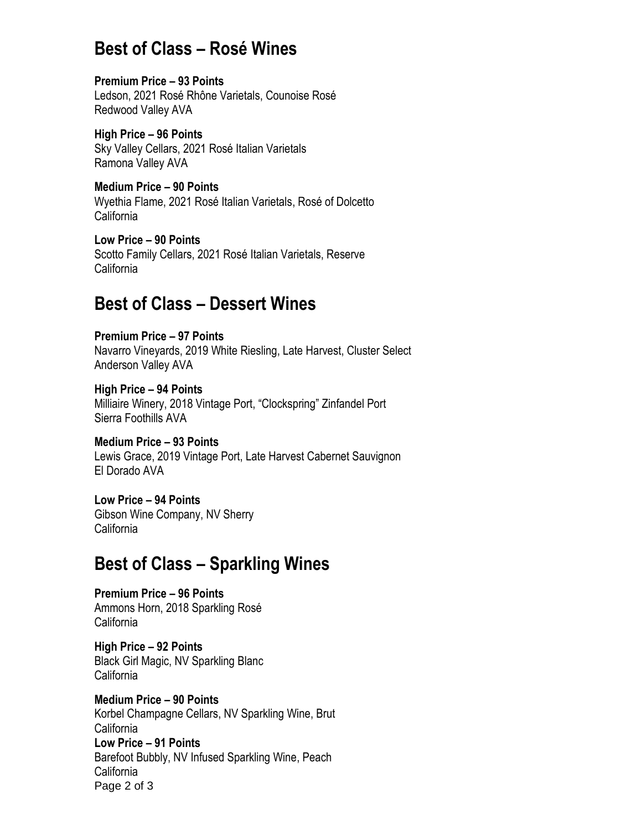## **Best of Class – Rosé Wines**

**Premium Price – 93 Points** Ledson, 2021 Rosé Rhône Varietals, Counoise Rosé Redwood Valley AVA

**High Price – 96 Points** Sky Valley Cellars, 2021 Rosé Italian Varietals Ramona Valley AVA

**Medium Price – 90 Points** Wyethia Flame, 2021 Rosé Italian Varietals, Rosé of Dolcetto California

**Low Price – 90 Points** Scotto Family Cellars, 2021 Rosé Italian Varietals, Reserve California

## **Best of Class – Dessert Wines**

**Premium Price – 97 Points** Navarro Vineyards, 2019 White Riesling, Late Harvest, Cluster Select Anderson Valley AVA

**High Price – 94 Points** Milliaire Winery, 2018 Vintage Port, "Clockspring" Zinfandel Port Sierra Foothills AVA

**Medium Price – 93 Points** Lewis Grace, 2019 Vintage Port, Late Harvest Cabernet Sauvignon El Dorado AVA

**Low Price – 94 Points** Gibson Wine Company, NV Sherry California

#### **Best of Class – Sparkling Wines**

**Premium Price – 96 Points** Ammons Horn, 2018 Sparkling Rosé **California** 

**High Price – 92 Points** Black Girl Magic, NV Sparkling Blanc California

Page 2 of 3 **Medium Price – 90 Points** Korbel Champagne Cellars, NV Sparkling Wine, Brut California **Low Price – 91 Points** Barefoot Bubbly, NV Infused Sparkling Wine, Peach California